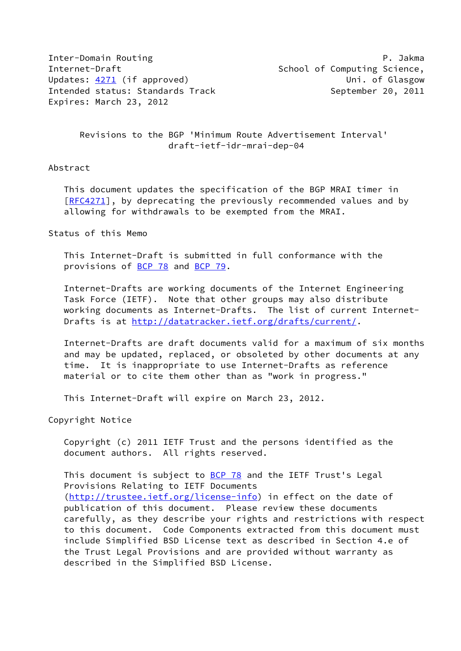Inter-Domain Routing P. Jakma Internet-Draft School of Computing Science, Updates: [4271](https://datatracker.ietf.org/doc/pdf/rfc4271) (if approved) and the Unit of Glasgow United Intended status: Standards Track September 20, 2011 Expires: March 23, 2012

 Revisions to the BGP 'Minimum Route Advertisement Interval' draft-ietf-idr-mrai-dep-04

## Abstract

 This document updates the specification of the BGP MRAI timer in [\[RFC4271](https://datatracker.ietf.org/doc/pdf/rfc4271)], by deprecating the previously recommended values and by allowing for withdrawals to be exempted from the MRAI.

## Status of this Memo

 This Internet-Draft is submitted in full conformance with the provisions of [BCP 78](https://datatracker.ietf.org/doc/pdf/bcp78) and [BCP 79](https://datatracker.ietf.org/doc/pdf/bcp79).

 Internet-Drafts are working documents of the Internet Engineering Task Force (IETF). Note that other groups may also distribute working documents as Internet-Drafts. The list of current Internet Drafts is at<http://datatracker.ietf.org/drafts/current/>.

 Internet-Drafts are draft documents valid for a maximum of six months and may be updated, replaced, or obsoleted by other documents at any time. It is inappropriate to use Internet-Drafts as reference material or to cite them other than as "work in progress."

This Internet-Draft will expire on March 23, 2012.

Copyright Notice

 Copyright (c) 2011 IETF Trust and the persons identified as the document authors. All rights reserved.

This document is subject to **[BCP 78](https://datatracker.ietf.org/doc/pdf/bcp78)** and the IETF Trust's Legal Provisions Relating to IETF Documents [\(http://trustee.ietf.org/license-info](http://trustee.ietf.org/license-info)) in effect on the date of publication of this document. Please review these documents carefully, as they describe your rights and restrictions with respect to this document. Code Components extracted from this document must include Simplified BSD License text as described in Section 4.e of the Trust Legal Provisions and are provided without warranty as described in the Simplified BSD License.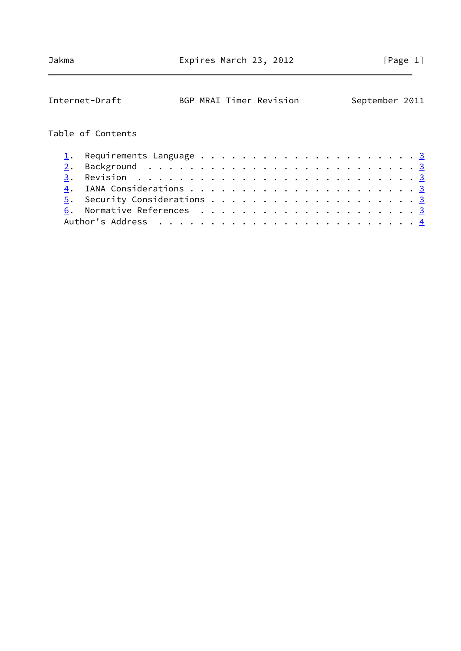| BGP MRAI Timer Revision<br>Internet-Draft |  |  |  |  |  |  |  |  |  | September 2011 |  |
|-------------------------------------------|--|--|--|--|--|--|--|--|--|----------------|--|
| Table of Contents                         |  |  |  |  |  |  |  |  |  |                |  |
|                                           |  |  |  |  |  |  |  |  |  |                |  |
| 2.                                        |  |  |  |  |  |  |  |  |  |                |  |
| 3.                                        |  |  |  |  |  |  |  |  |  |                |  |
|                                           |  |  |  |  |  |  |  |  |  |                |  |
|                                           |  |  |  |  |  |  |  |  |  |                |  |
|                                           |  |  |  |  |  |  |  |  |  |                |  |
|                                           |  |  |  |  |  |  |  |  |  |                |  |
|                                           |  |  |  |  |  |  |  |  |  |                |  |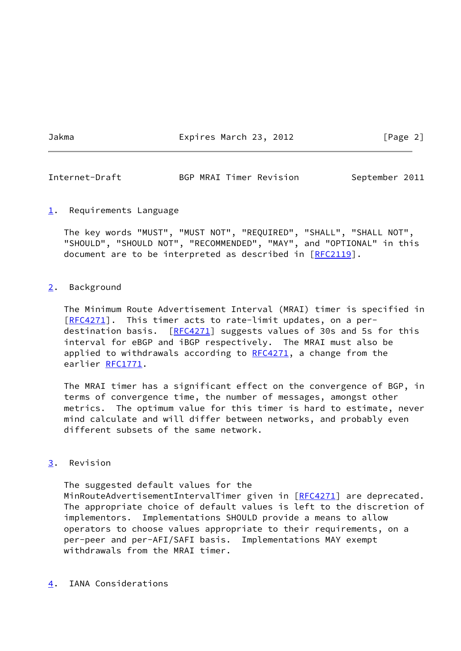Jakma Expires March 23, 2012 [Page 2]

<span id="page-2-1"></span>Internet-Draft BGP MRAI Timer Revision September 2011

<span id="page-2-0"></span>[1](#page-2-0). Requirements Language

 The key words "MUST", "MUST NOT", "REQUIRED", "SHALL", "SHALL NOT", "SHOULD", "SHOULD NOT", "RECOMMENDED", "MAY", and "OPTIONAL" in this document are to be interpreted as described in [\[RFC2119](https://datatracker.ietf.org/doc/pdf/rfc2119)].

## <span id="page-2-2"></span>[2](#page-2-2). Background

 The Minimum Route Advertisement Interval (MRAI) timer is specified in [\[RFC4271](https://datatracker.ietf.org/doc/pdf/rfc4271)]. This timer acts to rate-limit updates, on a per destination basis. [\[RFC4271](https://datatracker.ietf.org/doc/pdf/rfc4271)] suggests values of 30s and 5s for this interval for eBGP and iBGP respectively. The MRAI must also be applied to withdrawals according to  $RFC4271$ , a change from the earlier [RFC1771](https://datatracker.ietf.org/doc/pdf/rfc1771).

 The MRAI timer has a significant effect on the convergence of BGP, in terms of convergence time, the number of messages, amongst other metrics. The optimum value for this timer is hard to estimate, never mind calculate and will differ between networks, and probably even different subsets of the same network.

## <span id="page-2-3"></span>[3](#page-2-3). Revision

 The suggested default values for the MinRouteAdvertisementIntervalTimer given in [\[RFC4271](https://datatracker.ietf.org/doc/pdf/rfc4271)] are deprecated. The appropriate choice of default values is left to the discretion of implementors. Implementations SHOULD provide a means to allow operators to choose values appropriate to their requirements, on a per-peer and per-AFI/SAFI basis. Implementations MAY exempt withdrawals from the MRAI timer.

<span id="page-2-4"></span>[4](#page-2-4). IANA Considerations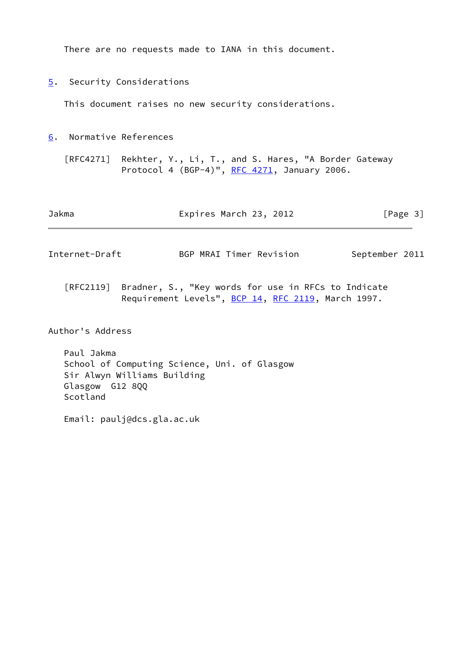There are no requests made to IANA in this document.

<span id="page-3-0"></span>[5](#page-3-0). Security Considerations

This document raises no new security considerations.

<span id="page-3-1"></span>[6](#page-3-1). Normative References

 [RFC4271] Rekhter, Y., Li, T., and S. Hares, "A Border Gateway Protocol 4 (BGP-4)", [RFC 4271](https://datatracker.ietf.org/doc/pdf/rfc4271), January 2006.

<span id="page-3-2"></span>

| Jakma                          | Expires March 23, 2012  | [Page 3]       |
|--------------------------------|-------------------------|----------------|
| Internet-Draft                 | BGP MRAI Timer Revision | September 2011 |
| $\Gamma = 2.22 \times 10^{-4}$ | $\sim$ $\sim$           | _ _ _          |

 [RFC2119] Bradner, S., "Key words for use in RFCs to Indicate Requirement Levels", [BCP 14](https://datatracker.ietf.org/doc/pdf/bcp14), [RFC 2119](https://datatracker.ietf.org/doc/pdf/rfc2119), March 1997.

Author's Address

 Paul Jakma School of Computing Science, Uni. of Glasgow Sir Alwyn Williams Building Glasgow G12 8QQ Scotland

Email: paulj@dcs.gla.ac.uk